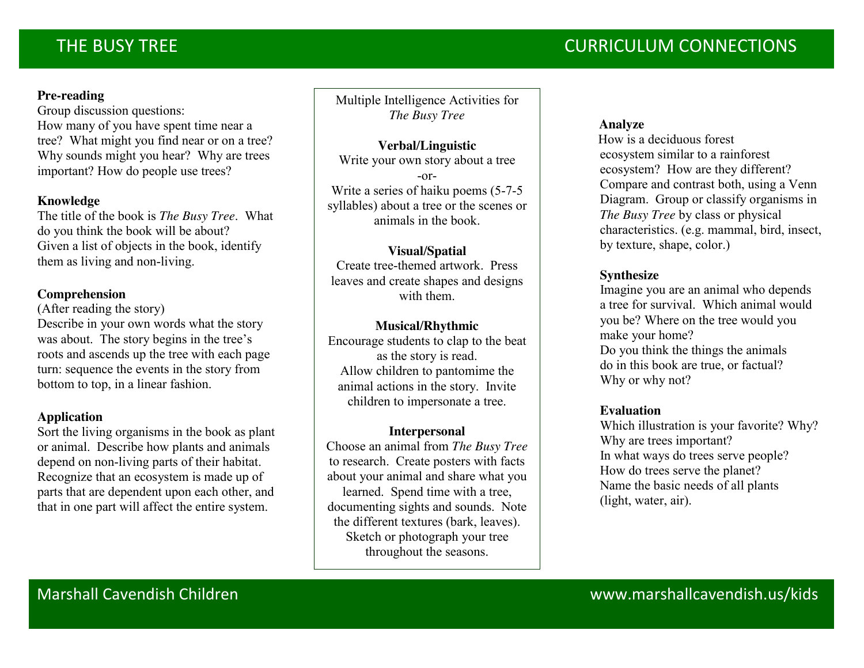### **Pre-reading**

Group discussion questions: How many of you have spent time near a tree? What might you find near or on a tree? Why sounds might you hear? Why are trees important? How do people use trees?

### **Knowledge**

The title of the book is *The Busy Tree*. What do you think the book will be about? Given a list of objects in the book, identify them as living and non-living.

### **Comprehension**

(After reading the story) Describe in your own words what the story was about. The story begins in the tree's roots and ascends up the tree with each page turn: sequence the events in the story from bottom to top, in a linear fashion.

### **Application**

Sort the living organisms in the book as plant or animal. Describe how plants and animals depend on non-living parts of their habitat. Recognize that an ecosystem is made up of parts that are dependent upon each other, and that in one part will affect the entire system.

Multiple Intelligence Activities for *The Busy Tree*

### **Verbal/Linguistic**

Write your own story about a tree -or-Write a series of haiku poems (5-7-5 syllables) about a tree or the scenes or animals in the book.

### **Visual/Spatial**

Create tree-themed artwork. Press leaves and create shapes and designs with them.

### **Musical/Rhythmic**

Encourage students to clap to the beat as the story is read. Allow children to pantomime the animal actions in the story. Invite children to impersonate a tree.

### **Interpersonal**

Choose an animal from *The Busy Tree* to research. Create posters with facts about your animal and share what you learned. Spend time with a tree, documenting sights and sounds. Note the different textures (bark, leaves). Sketch or photograph your tree throughout the seasons.

### **Analyze**

How is a deciduous forest ecosystem similar to a rainforest ecosystem? How are they different? Compare and contrast both, using a Venn Diagram. Group or classify organisms in *The Busy Tree* by class or physical characteristics. (e.g. mammal, bird, insect, by texture, shape, color.)

### **Synthesize**

Imagine you are an animal who depends a tree for survival. Which animal would you be? Where on the tree would you make your home? Do you think the things the animals do in this book are true, or factual? Why or why not?

### **Evaluation**

 Which illustration is your favorite? Why? Why are trees important? In what ways do trees serve people? How do trees serve the planet? Name the basic needs of all plants (light, water, air).